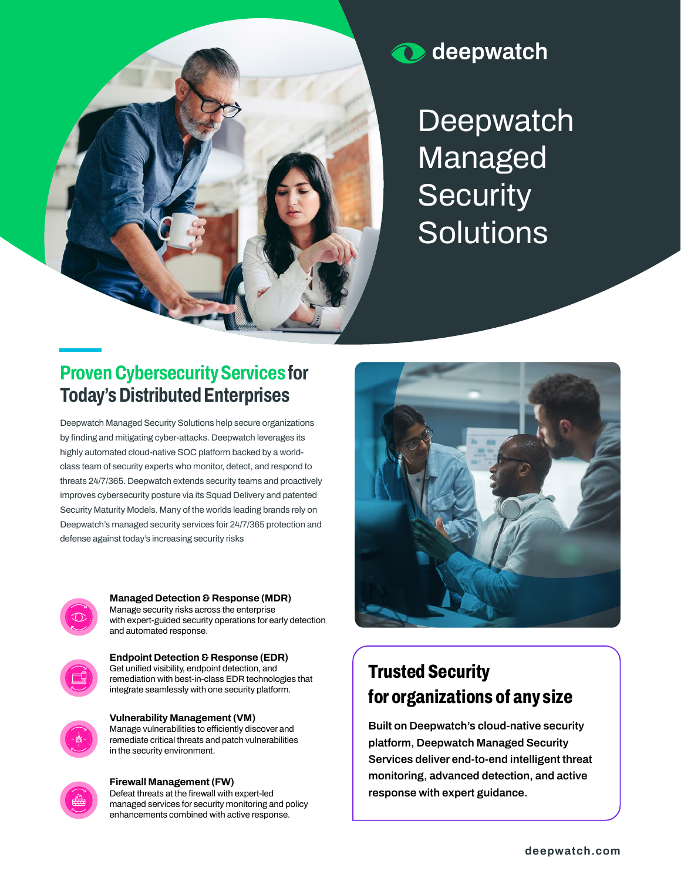

# **O** deepwatch

**Deepwatch Managed Security Solutions**

## **Proven Cybersecurity Services for Today's Distributed Enterprises**

**Deepwatch Managed Security Solutions help secure organizations by finding and mitigating cyber-attacks. Deepwatch leverages its highly automated cloud-native SOC platform backed by a worldclass team of security experts who monitor, detect, and respond to threats 24/7/365. Deepwatch extends security teams and proactively improves cybersecurity posture via its Squad Delivery and patented Security Maturity Models. Many of the worlds leading brands rely on Deepwatch's managed security services foir 24/7/365 protection and defense against today's increasing security risks**



**Managed Detection & Response (MDR) Manage security risks across the enterprise with expert-guided security operations for early detection and automated response.**



**Endpoint Detection & Response (EDR) Get unified visibility, endpoint detection, and remediation with best-in-class EDR technologies that integrate seamlessly with one security platform.**



**Vulnerability Management (VM) Manage vulnerabilities to efficiently discover and remediate critical threats and patch vulnerabilities in the security environment.**



### **Firewall Management (FW) Defeat threats at the firewall with expert-led**

**managed services for security monitoring and policy enhancements combined with active response.**

# **Trusted Security for organizations of any size**

**Built on Deepwatch's cloud-native security platform, Deepwatch Managed Security Services deliver end-to-end intelligent threat monitoring, advanced detection, and active response with expert guidance.**